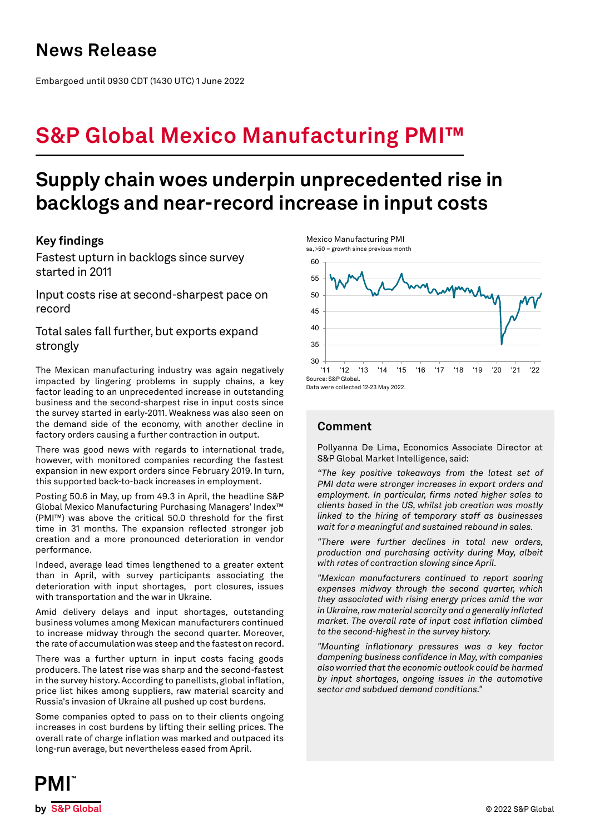## **News Release**

Embargoed until 0930 CDT (1430 UTC) 1 June 2022

# **S&P Global Mexico Manufacturing PMI™**

## **Supply chain woes underpin unprecedented rise in backlogs and near-record increase in input costs**

## **Key findings**

Fastest upturn in backlogs since survey started in 2011

Input costs rise at second-sharpest pace on record

Total sales fall further, but exports expand strongly

The Mexican manufacturing industry was again negatively impacted by lingering problems in supply chains, a key factor leading to an unprecedented increase in outstanding business and the second-sharpest rise in input costs since the survey started in early-2011. Weakness was also seen on the demand side of the economy, with another decline in factory orders causing a further contraction in output.

There was good news with regards to international trade, however, with monitored companies recording the fastest expansion in new export orders since February 2019. In turn, this supported back-to-back increases in employment.

Posting 50.6 in May, up from 49.3 in April, the headline S&P Global Mexico Manufacturing Purchasing Managers' Index™ (PMI™) was above the critical 50.0 threshold for the first time in 31 months. The expansion reflected stronger job creation and a more pronounced deterioration in vendor performance.

Indeed, average lead times lengthened to a greater extent than in April, with survey participants associating the deterioration with input shortages, port closures, issues with transportation and the war in Ukraine.

Amid delivery delays and input shortages, outstanding business volumes among Mexican manufacturers continued to increase midway through the second quarter. Moreover, the rate of accumulation was steep and the fastest on record.

There was a further upturn in input costs facing goods producers. The latest rise was sharp and the second-fastest in the survey history. According to panellists, global inflation, price list hikes among suppliers, raw material scarcity and Russia's invasion of Ukraine all pushed up cost burdens.

Some companies opted to pass on to their clients ongoing increases in cost burdens by lifting their selling prices. The overall rate of charge inflation was marked and outpaced its long-run average, but nevertheless eased from April.



### **Comment**

Mexico Manufacturing PMI

Pollyanna De Lima, Economics Associate Director at S&P Global Market Intelligence, said:

*"The key positive takeaways from the latest set of PMI data were stronger increases in export orders and employment. In particular, firms noted higher sales to clients based in the US, whilst job creation was mostly linked to the hiring of temporary staff as businesses wait for a meaningful and sustained rebound in sales.*

*"There were further declines in total new orders, production and purchasing activity during May, albeit with rates of contraction slowing since April.*

*"Mexican manufacturers continued to report soaring expenses midway through the second quarter, which they associated with rising energy prices amid the war in Ukraine, raw material scarcity and a generally inflated market. The overall rate of input cost inflation climbed to the second-highest in the survey history.*

*"Mounting inflationary pressures was a key factor dampening business confidence in May, with companies also worried that the economic outlook could be harmed by input shortages, ongoing issues in the automotive sector and subdued demand conditions."*